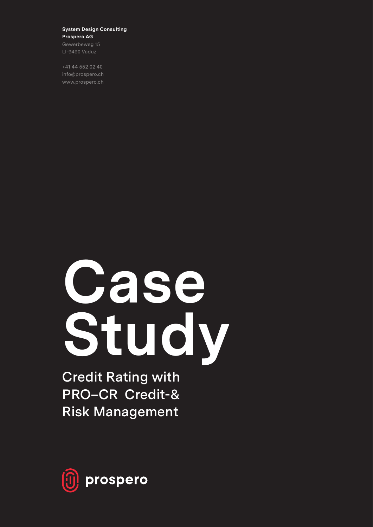#### **System Design Consulting Prospero AG**

Gewerbeweg 15 LI-9490 Vaduz

+41 44 552 02 40 info@prospero.ch www.prospero.ch

# **Case Study**

**Credit Rating with PRO–CR Credit-& Risk Management**

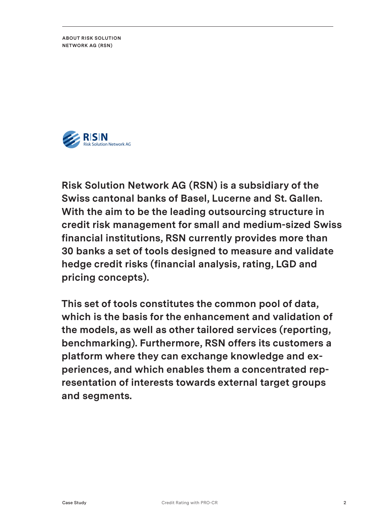**ABOUT RISK SOLUTION NETWORK AG (RSN)**



**Risk Solution Network AG (RSN) is a subsidiary of the Swiss cantonal banks of Basel, Lucerne and St. Gallen. With the aim to be the leading outsourcing structure in credit risk management for small and medium-sized Swiss financial institutions, RSN currently provides more than 30 banks a set of tools designed to measure and validate hedge credit risks (financial analysis, rating, LGD and pricing concepts).**

**This set of tools constitutes the common pool of data, which is the basis for the enhancement and validation of the models, as well as other tailored services (reporting, benchmarking). Furthermore, RSN offers its customers a platform where they can exchange knowledge and experiences, and which enables them a concentrated representation of interests towards external target groups and segments.**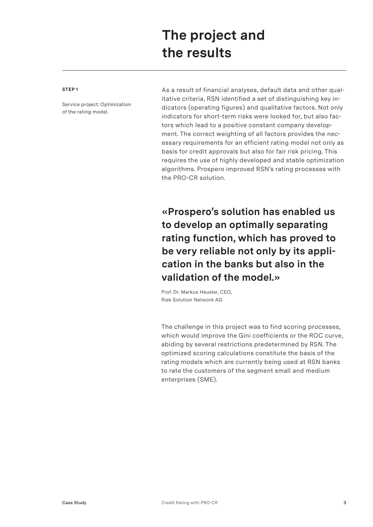## **The project and the results**

#### **STEP 1**

Service project: Optimization of the rating model.

As a result of financial analyses, default data and other qualitative criteria, RSN identified a set of distinguishing key indicators (operating figures) and qualitative factors. Not only indicators for short-term risks were looked for, but also factors which lead to a positive constant company development. The correct weighting of all factors provides the necessary requirements for an efficient rating model not only as basis for credit approvals but also for fair risk pricing. This requires the use of highly developed and stable optimization algorithms. Prospero improved RSN's rating processes with the PRO-CR solution.

**«Prospero's solution has enabled us to develop an optimally separating rating function, which has proved to be very reliable not only by its application in the banks but also in the validation of the model.»**

Prof. Dr. Markus Heusler, CEO, Risk Solution Network AG

The challenge in this project was to find scoring processes, which would improve the Gini coefficients or the ROC curve, abiding by several restrictions predetermined by RSN. The optimized scoring calculations constitute the basis of the rating models which are currently being used at RSN banks to rate the customers of the segment small and medium enterprises (SME).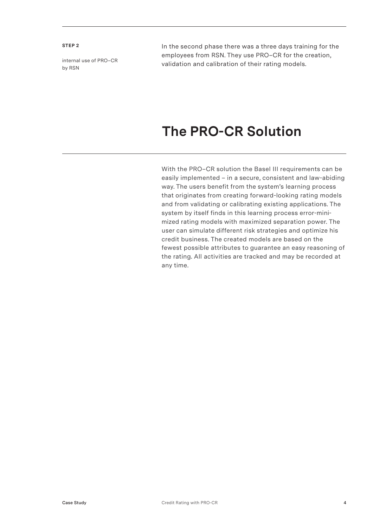#### **STEP 2**

internal use of PRO–CR by RSN

In the second phase there was a three days training for the employees from RSN. They use PRO–CR for the creation, validation and calibration of their rating models.

### **The PRO-CR Solution**

With the PRO–CR solution the Basel III requirements can be easily implemented – in a secure, consistent and law-abiding way. The users benefit from the system's learning process that originates from creating forward-looking rating models and from validating or calibrating existing applications. The system by itself finds in this learning process error-minimized rating models with maximized separation power. The user can simulate different risk strategies and optimize his credit business. The created models are based on the fewest possible attributes to guarantee an easy reasoning of the rating. All activities are tracked and may be recorded at any time.